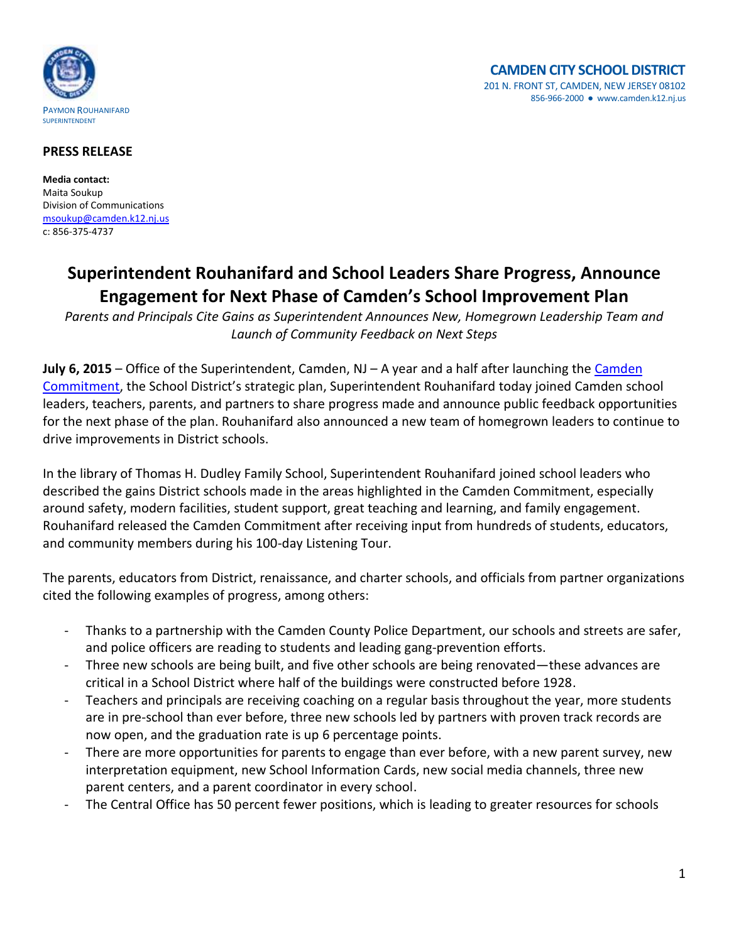

## **PRESS RELEASE**

**Media contact:** Maita Soukup Division of Communications [msoukup@camden.k12.nj.us](mailto:msoukup@camden.k12.nj.us) c: 856-375-4737

## **Superintendent Rouhanifard and School Leaders Share Progress, Announce Engagement for Next Phase of Camden's School Improvement Plan**

*Parents and Principals Cite Gains as Superintendent Announces New, Homegrown Leadership Team and Launch of Community Feedback on Next Steps*

**July 6, 2015** – Office of the Superintendent, Camden, NJ – A year and a half after launching the [Camden](http://www.camden.k12.nj.us/pdf/Camden-StratPlan-OnePager-Jan27.pdf)  [Commitment](http://www.camden.k12.nj.us/pdf/Camden-StratPlan-OnePager-Jan27.pdf), the School District's strategic plan, Superintendent Rouhanifard today joined Camden school leaders, teachers, parents, and partners to share progress made and announce public feedback opportunities for the next phase of the plan. Rouhanifard also announced a new team of homegrown leaders to continue to drive improvements in District schools.

In the library of Thomas H. Dudley Family School, Superintendent Rouhanifard joined school leaders who described the gains District schools made in the areas highlighted in the Camden Commitment, especially around safety, modern facilities, student support, great teaching and learning, and family engagement. Rouhanifard released the Camden Commitment after receiving input from hundreds of students, educators, and community members during his 100-day Listening Tour.

The parents, educators from District, renaissance, and charter schools, and officials from partner organizations cited the following examples of progress, among others:

- Thanks to a partnership with the Camden County Police Department, our schools and streets are safer, and police officers are reading to students and leading gang-prevention efforts.
- Three new schools are being built, and five other schools are being renovated—these advances are critical in a School District where half of the buildings were constructed before 1928.
- Teachers and principals are receiving coaching on a regular basis throughout the year, more students are in pre-school than ever before, three new schools led by partners with proven track records are now open, and the graduation rate is up 6 percentage points.
- There are more opportunities for parents to engage than ever before, with a new parent survey, new interpretation equipment, new School Information Cards, new social media channels, three new parent centers, and a parent coordinator in every school.
- The Central Office has 50 percent fewer positions, which is leading to greater resources for schools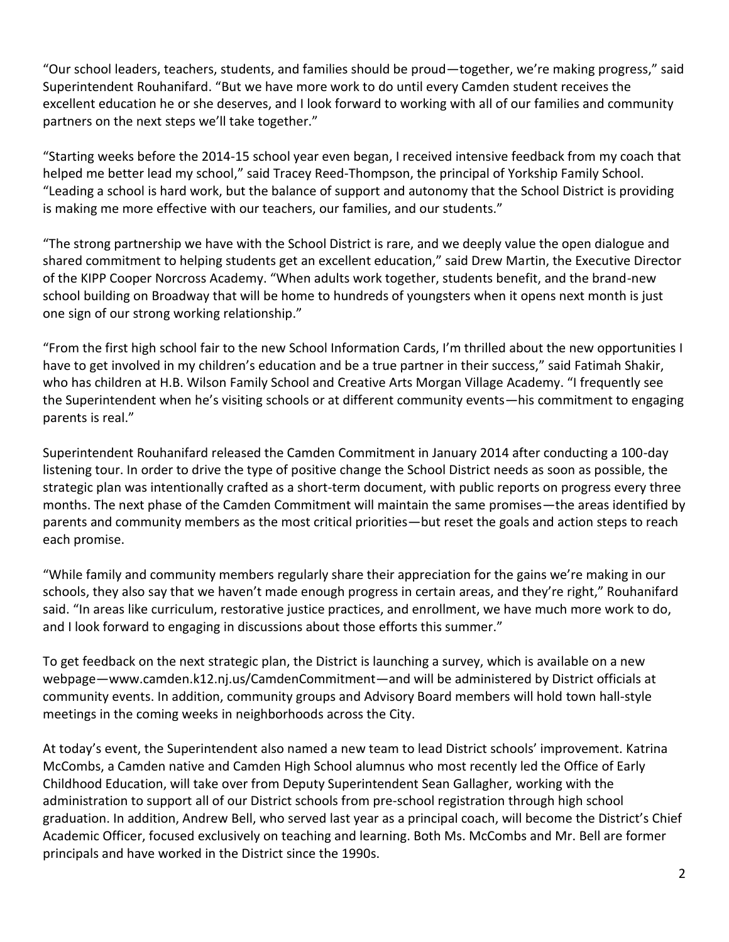"Our school leaders, teachers, students, and families should be proud—together, we're making progress," said Superintendent Rouhanifard. "But we have more work to do until every Camden student receives the excellent education he or she deserves, and I look forward to working with all of our families and community partners on the next steps we'll take together."

"Starting weeks before the 2014-15 school year even began, I received intensive feedback from my coach that helped me better lead my school," said Tracey Reed-Thompson, the principal of Yorkship Family School. "Leading a school is hard work, but the balance of support and autonomy that the School District is providing is making me more effective with our teachers, our families, and our students."

"The strong partnership we have with the School District is rare, and we deeply value the open dialogue and shared commitment to helping students get an excellent education," said Drew Martin, the Executive Director of the KIPP Cooper Norcross Academy. "When adults work together, students benefit, and the brand-new school building on Broadway that will be home to hundreds of youngsters when it opens next month is just one sign of our strong working relationship."

"From the first high school fair to the new School Information Cards, I'm thrilled about the new opportunities I have to get involved in my children's education and be a true partner in their success," said Fatimah Shakir, who has children at H.B. Wilson Family School and Creative Arts Morgan Village Academy. "I frequently see the Superintendent when he's visiting schools or at different community events—his commitment to engaging parents is real."

Superintendent Rouhanifard released the Camden Commitment in January 2014 after conducting a 100-day listening tour. In order to drive the type of positive change the School District needs as soon as possible, the strategic plan was intentionally crafted as a short-term document, with public reports on progress every three months. The next phase of the Camden Commitment will maintain the same promises—the areas identified by parents and community members as the most critical priorities—but reset the goals and action steps to reach each promise.

"While family and community members regularly share their appreciation for the gains we're making in our schools, they also say that we haven't made enough progress in certain areas, and they're right," Rouhanifard said. "In areas like curriculum, restorative justice practices, and enrollment, we have much more work to do, and I look forward to engaging in discussions about those efforts this summer."

To get feedback on the next strategic plan, the District is launching a survey, which is available on a new webpage—www.camden.k12.nj.us/CamdenCommitment—and will be administered by District officials at community events. In addition, community groups and Advisory Board members will hold town hall-style meetings in the coming weeks in neighborhoods across the City.

At today's event, the Superintendent also named a new team to lead District schools' improvement. Katrina McCombs, a Camden native and Camden High School alumnus who most recently led the Office of Early Childhood Education, will take over from Deputy Superintendent Sean Gallagher, working with the administration to support all of our District schools from pre-school registration through high school graduation. In addition, Andrew Bell, who served last year as a principal coach, will become the District's Chief Academic Officer, focused exclusively on teaching and learning. Both Ms. McCombs and Mr. Bell are former principals and have worked in the District since the 1990s.